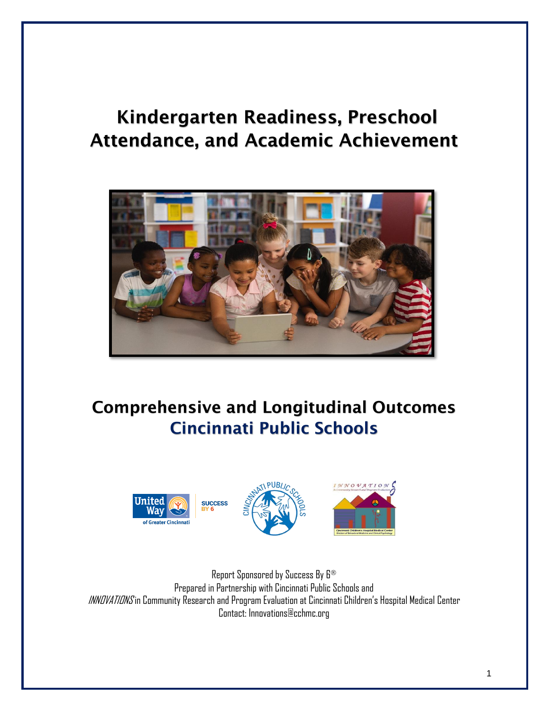# Kindergarten Readiness, Preschool Attendance, and Academic Achievement



# Comprehensive and Longitudinal Outcomes Cincinnati Public Schools



Report Sponsored by Success By 6 Prepared in Partnership with Cincinnati Public Schools and INNOVATIONS in Community Research and Program Evaluation at Cincinnati Children's Hospital Medical Center Contact: Innovations@cchmc.org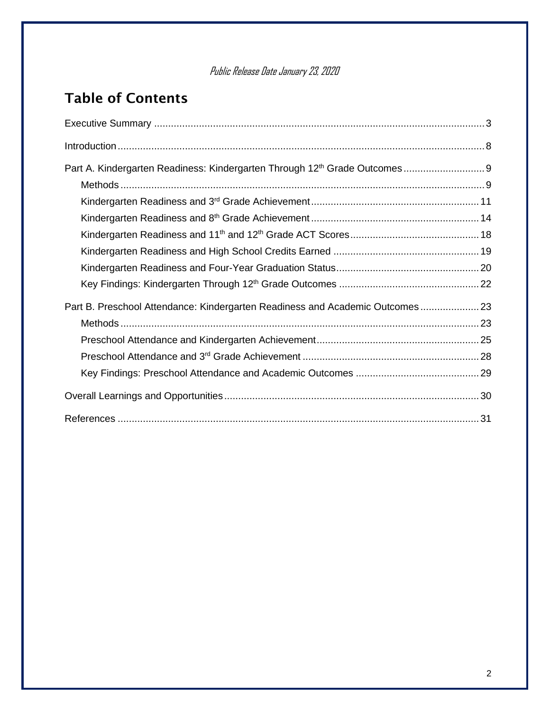### Public Release Date January 23, 2020

# Table of Contents

| Part B. Preschool Attendance: Kindergarten Readiness and Academic Outcomes23 |  |
|------------------------------------------------------------------------------|--|
|                                                                              |  |
|                                                                              |  |
|                                                                              |  |
|                                                                              |  |
|                                                                              |  |
|                                                                              |  |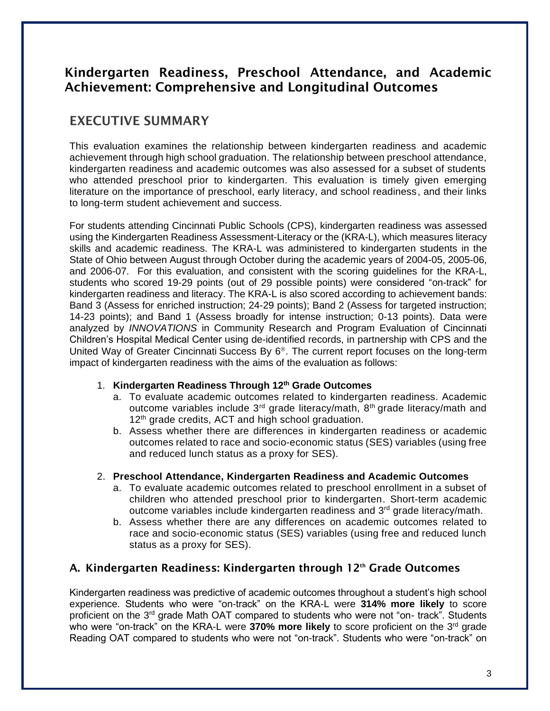# Kindergarten Readiness, Preschool Attendance, and Academic Achievement: Comprehensive and Longitudinal Outcomes

# <span id="page-2-0"></span>EXECUTIVE SUMMARY

This evaluation examines the relationship between kindergarten readiness and academic achievement through high school graduation. The relationship between preschool attendance, kindergarten readiness and academic outcomes was also assessed for a subset of students who attended preschool prior to kindergarten. This evaluation is timely given emerging literature on the importance of preschool, early literacy, and school readiness, and their links to long-term student achievement and success.

For students attending Cincinnati Public Schools (CPS), kindergarten readiness was assessed using the Kindergarten Readiness Assessment-Literacy or the (KRA-L), which measures literacy skills and academic readiness. The KRA-L was administered to kindergarten students in the State of Ohio between August through October during the academic years of 2004-05, 2005-06, and 2006-07. For this evaluation, and consistent with the scoring guidelines for the KRA-L, students who scored 19-29 points (out of 29 possible points) were considered "on-track" for kindergarten readiness and literacy. The KRA-L is also scored according to achievement bands: Band 3 (Assess for enriched instruction; 24-29 points); Band 2 (Assess for targeted instruction; 14-23 points); and Band 1 (Assess broadly for intense instruction; 0-13 points). Data were analyzed by *INNOVATIONS* in Community Research and Program Evaluation of Cincinnati Children's Hospital Medical Center using de-identified records, in partnership with CPS and the United Way of Greater Cincinnati Success By  $6^{\circ}$ . The current report focuses on the long-term impact of kindergarten readiness with the aims of the evaluation as follows:

#### 1. **Kindergarten Readiness Through 12th Grade Outcomes**

- a. To evaluate academic outcomes related to kindergarten readiness. Academic outcome variables include 3<sup>rd</sup> grade literacy/math, 8<sup>th</sup> grade literacy/math and 12<sup>th</sup> grade credits, ACT and high school graduation.
- b. Assess whether there are differences in kindergarten readiness or academic outcomes related to race and socio-economic status (SES) variables (using free and reduced lunch status as a proxy for SES).

#### 2. **Preschool Attendance, Kindergarten Readiness and Academic Outcomes**

- a. To evaluate academic outcomes related to preschool enrollment in a subset of children who attended preschool prior to kindergarten. Short-term academic outcome variables include kindergarten readiness and 3<sup>rd</sup> grade literacy/math.
- b. Assess whether there are any differences on academic outcomes related to race and socio-economic status (SES) variables (using free and reduced lunch status as a proxy for SES).

### A. Kindergarten Readiness: Kindergarten through 12th Grade Outcomes

Kindergarten readiness was predictive of academic outcomes throughout a student's high school experience. Students who were "on-track" on the KRA-L were **314% more likely** to score proficient on the  $3<sup>rd</sup>$  grade Math OAT compared to students who were not "on- track". Students who were "on-track" on the KRA-L were 370% more likely to score proficient on the 3<sup>rd</sup> grade Reading OAT compared to students who were not "on-track". Students who were "on-track" on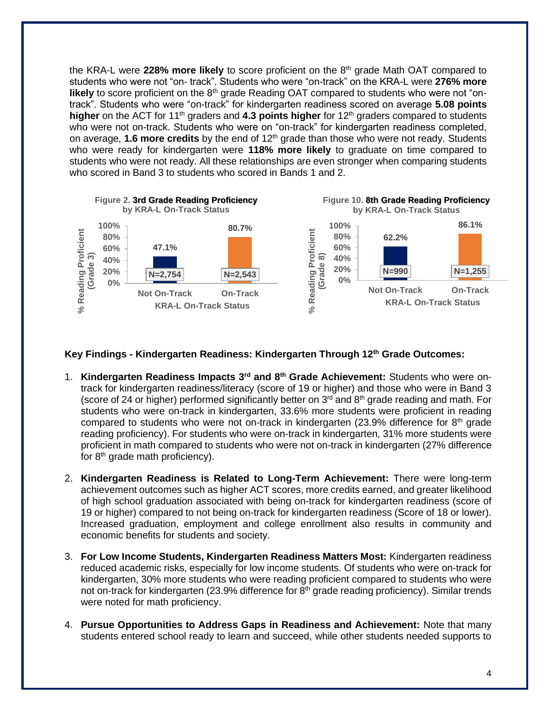the KRA-L were **228% more likely** to score proficient on the 8th grade Math OAT compared to students who were not "on- track". Students who were "on-track" on the KRA-L were **276% more likely** to score proficient on the 8<sup>th</sup> grade Reading OAT compared to students who were not "ontrack". Students who were "on-track" for kindergarten readiness scored on average **5.08 points higher** on the ACT for 11<sup>th</sup> graders and **4.3 points higher** for 12<sup>th</sup> graders compared to students who were not on-track. Students who were on "on-track" for kindergarten readiness completed, on average, **1.6 more credits** by the end of 12<sup>th</sup> grade than those who were not ready. Students who were ready for kindergarten were **118% more likely** to graduate on time compared to students who were not ready. All these relationships are even stronger when comparing students who scored in Band 3 to students who scored in Bands 1 and 2.



#### **Key Findings - Kindergarten Readiness: Kindergarten Through 12th Grade Outcomes:**

- 1. **Kindergarten Readiness Impacts 3rd and 8th Grade Achievement:** Students who were ontrack for kindergarten readiness/literacy (score of 19 or higher) and those who were in Band 3 (score of 24 or higher) performed significantly better on  $3<sup>rd</sup>$  and  $8<sup>th</sup>$  grade reading and math. For students who were on-track in kindergarten, 33.6% more students were proficient in reading compared to students who were not on-track in kindergarten (23.9% difference for  $8<sup>th</sup>$  grade reading proficiency). For students who were on-track in kindergarten, 31% more students were proficient in math compared to students who were not on-track in kindergarten (27% difference for  $8<sup>th</sup>$  grade math proficiency).
- 2. **Kindergarten Readiness is Related to Long-Term Achievement:** There were long-term achievement outcomes such as higher ACT scores, more credits earned, and greater likelihood of high school graduation associated with being on-track for kindergarten readiness (score of 19 or higher) compared to not being on-track for kindergarten readiness (Score of 18 or lower). Increased graduation, employment and college enrollment also results in community and economic benefits for students and society.
- 3. **For Low Income Students, Kindergarten Readiness Matters Most:** Kindergarten readiness reduced academic risks, especially for low income students. Of students who were on-track for kindergarten, 30% more students who were reading proficient compared to students who were not on-track for kindergarten (23.9% difference for 8<sup>th</sup> grade reading proficiency). Similar trends were noted for math proficiency.
- 4. **Pursue Opportunities to Address Gaps in Readiness and Achievement:** Note that many students entered school ready to learn and succeed, while other students needed supports to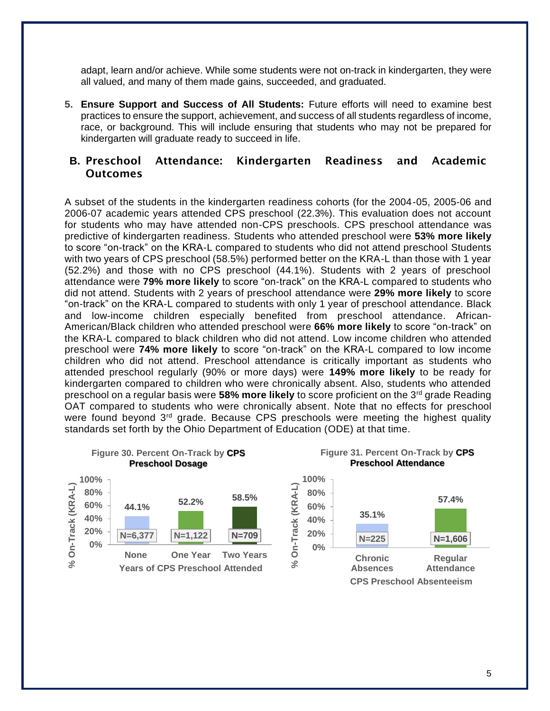adapt, learn and/or achieve. While some students were not on-track in kindergarten, they were all valued, and many of them made gains, succeeded, and graduated.

**5. Ensure Support and Success of All Students:** Future efforts will need to examine best practices to ensure the support, achievement, and success of all students regardless of income, race, or background. This will include ensuring that students who may not be prepared for kindergarten will graduate ready to succeed in life.

### **B.** Preschool Attendance: Kindergarten Readiness and Academic **Outcomes**

A subset of the students in the kindergarten readiness cohorts (for the 2004-05, 2005-06 and 2006-07 academic years attended CPS preschool (22.3%). This evaluation does not account for students who may have attended non-CPS preschools. CPS preschool attendance was predictive of kindergarten readiness. Students who attended preschool were **53% more likely**  to score "on-track" on the KRA-L compared to students who did not attend preschool Students with two years of CPS preschool (58.5%) performed better on the KRA-L than those with 1 year (52.2%) and those with no CPS preschool (44.1%). Students with 2 years of preschool attendance were **79% more likely** to score "on-track" on the KRA-L compared to students who did not attend. Students with 2 years of preschool attendance were **29% more likely** to score "on-track" on the KRA-L compared to students with only 1 year of preschool attendance. Black and low-income children especially benefited from preschool attendance. African-American/Black children who attended preschool were **66% more likely** to score "on-track" on the KRA-L compared to black children who did not attend. Low income children who attended preschool were **74% more likely** to score "on-track" on the KRA-L compared to low income children who did not attend. Preschool attendance is critically important as students who attended preschool regularly (90% or more days) were **149% more likely** to be ready for kindergarten compared to children who were chronically absent. Also, students who attended preschool on a regular basis were **58% more likely** to score proficient on the 3rd grade Reading OAT compared to students who were chronically absent. Note that no effects for preschool were found beyond  $3<sup>rd</sup>$  grade. Because CPS preschools were meeting the highest quality standards set forth by the Ohio Department of Education (ODE) at that time.

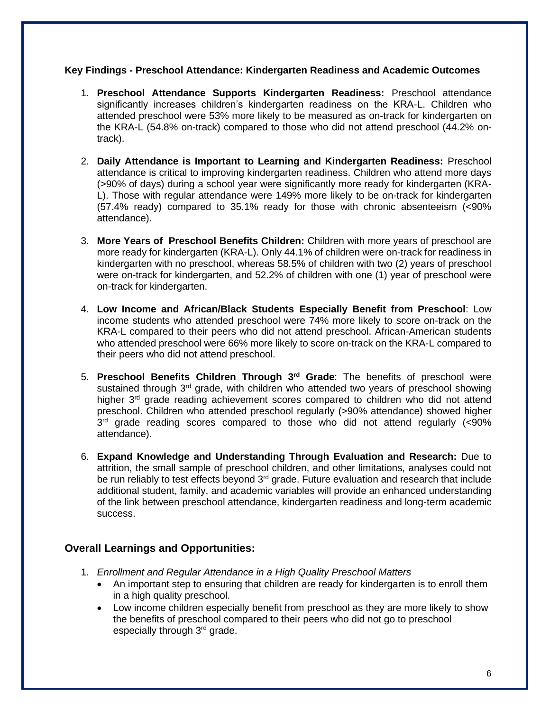#### **Key Findings - Preschool Attendance: Kindergarten Readiness and Academic Outcomes**

- 1. **Preschool Attendance Supports Kindergarten Readiness:** Preschool attendance significantly increases children's kindergarten readiness on the KRA-L. Children who attended preschool were 53% more likely to be measured as on-track for kindergarten on the KRA-L (54.8% on-track) compared to those who did not attend preschool (44.2% ontrack).
- 2. **Daily Attendance is Important to Learning and Kindergarten Readiness:** Preschool attendance is critical to improving kindergarten readiness. Children who attend more days (>90% of days) during a school year were significantly more ready for kindergarten (KRA-L). Those with regular attendance were 149% more likely to be on-track for kindergarten (57.4% ready) compared to 35.1% ready for those with chronic absenteeism (<90% attendance).
- 3. **More Years of Preschool Benefits Children:** Children with more years of preschool are more ready for kindergarten (KRA-L). Only 44.1% of children were on-track for readiness in kindergarten with no preschool, whereas 58.5% of children with two (2) years of preschool were on-track for kindergarten, and 52.2% of children with one (1) year of preschool were on-track for kindergarten.
- 4. **Low Income and African/Black Students Especially Benefit from Preschool**: Low income students who attended preschool were 74% more likely to score on-track on the KRA-L compared to their peers who did not attend preschool. African-American students who attended preschool were 66% more likely to score on-track on the KRA-L compared to their peers who did not attend preschool.
- 5. **Preschool Benefits Children Through 3rd Grade**: The benefits of preschool were sustained through 3<sup>rd</sup> grade, with children who attended two years of preschool showing higher 3<sup>rd</sup> grade reading achievement scores compared to children who did not attend preschool. Children who attended preschool regularly (>90% attendance) showed higher 3<sup>rd</sup> grade reading scores compared to those who did not attend regularly (<90% attendance).
- 6. **Expand Knowledge and Understanding Through Evaluation and Research:** Due to attrition, the small sample of preschool children, and other limitations, analyses could not be run reliably to test effects beyond 3<sup>rd</sup> grade. Future evaluation and research that include additional student, family, and academic variables will provide an enhanced understanding of the link between preschool attendance, kindergarten readiness and long-term academic success.

#### **Overall Learnings and Opportunities:**

- 1. *Enrollment and Regular Attendance in a High Quality Preschool Matters*
	- An important step to ensuring that children are ready for kindergarten is to enroll them in a high quality preschool.
	- Low income children especially benefit from preschool as they are more likely to show the benefits of preschool compared to their peers who did not go to preschool especially through 3<sup>rd</sup> grade.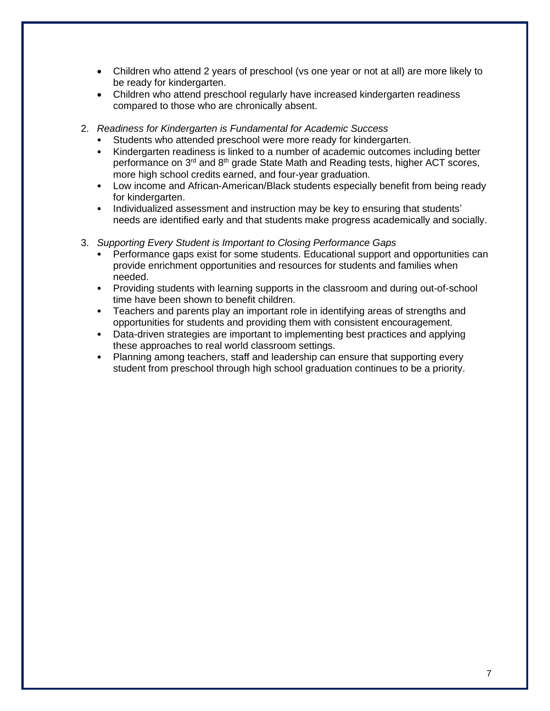- Children who attend 2 years of preschool (vs one year or not at all) are more likely to be ready for kindergarten.
- Children who attend preschool regularly have increased kindergarten readiness compared to those who are chronically absent.
- 2. *Readiness for Kindergarten is Fundamental for Academic Success*
	- Students who attended preschool were more ready for kindergarten.
	- Kindergarten readiness is linked to a number of academic outcomes including better performance on 3<sup>rd</sup> and 8<sup>th</sup> grade State Math and Reading tests, higher ACT scores, more high school credits earned, and four-year graduation.
	- Low income and African-American/Black students especially benefit from being ready for kindergarten.
	- Individualized assessment and instruction may be key to ensuring that students' needs are identified early and that students make progress academically and socially.
- 3. *Supporting Every Student is Important to Closing Performance Gaps* 
	- Performance gaps exist for some students. Educational support and opportunities can provide enrichment opportunities and resources for students and families when needed.
	- Providing students with learning supports in the classroom and during out-of-school time have been shown to benefit children.
	- Teachers and parents play an important role in identifying areas of strengths and opportunities for students and providing them with consistent encouragement.
	- Data-driven strategies are important to implementing best practices and applying these approaches to real world classroom settings.
	- Planning among teachers, staff and leadership can ensure that supporting every student from preschool through high school graduation continues to be a priority.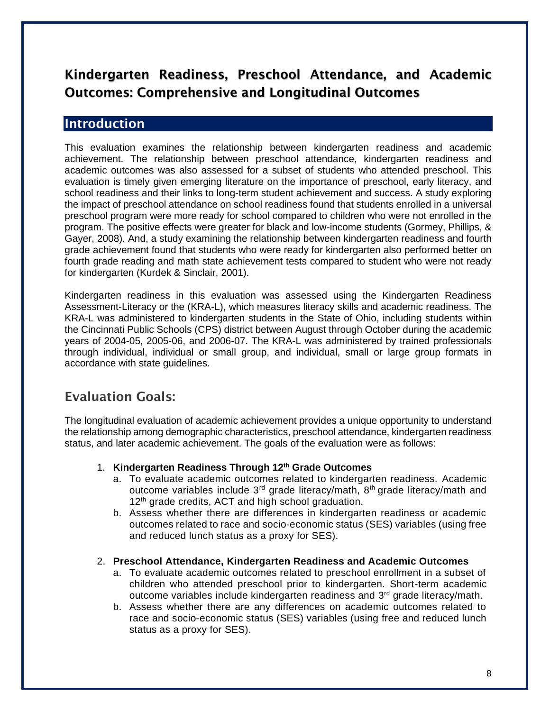# Kindergarten Readiness, Preschool Attendance, and Academic Outcomes: Comprehensive and Longitudinal Outcomes

### <span id="page-7-0"></span>**Introduction**

This evaluation examines the relationship between kindergarten readiness and academic achievement. The relationship between preschool attendance, kindergarten readiness and academic outcomes was also assessed for a subset of students who attended preschool. This evaluation is timely given emerging literature on the importance of preschool, early literacy, and school readiness and their links to long-term student achievement and success. A study exploring the impact of preschool attendance on school readiness found that students enrolled in a universal preschool program were more ready for school compared to children who were not enrolled in the program. The positive effects were greater for black and low-income students (Gormey, Phillips, & Gayer, 2008). And, a study examining the relationship between kindergarten readiness and fourth grade achievement found that students who were ready for kindergarten also performed better on fourth grade reading and math state achievement tests compared to student who were not ready for kindergarten (Kurdek & Sinclair, 2001).

Kindergarten readiness in this evaluation was assessed using the Kindergarten Readiness Assessment-Literacy or the (KRA-L), which measures literacy skills and academic readiness. The KRA-L was administered to kindergarten students in the State of Ohio, including students within the Cincinnati Public Schools (CPS) district between August through October during the academic years of 2004-05, 2005-06, and 2006-07. The KRA-L was administered by trained professionals through individual, individual or small group, and individual, small or large group formats in accordance with state guidelines.

## Evaluation Goals:

The longitudinal evaluation of academic achievement provides a unique opportunity to understand the relationship among demographic characteristics, preschool attendance, kindergarten readiness status, and later academic achievement. The goals of the evaluation were as follows:

- 1. **Kindergarten Readiness Through 12th Grade Outcomes**
	- a. To evaluate academic outcomes related to kindergarten readiness. Academic outcome variables include 3<sup>rd</sup> grade literacy/math, 8<sup>th</sup> grade literacy/math and 12<sup>th</sup> grade credits, ACT and high school graduation.
	- b. Assess whether there are differences in kindergarten readiness or academic outcomes related to race and socio-economic status (SES) variables (using free and reduced lunch status as a proxy for SES).

#### 2. **Preschool Attendance, Kindergarten Readiness and Academic Outcomes**

- a. To evaluate academic outcomes related to preschool enrollment in a subset of children who attended preschool prior to kindergarten. Short-term academic outcome variables include kindergarten readiness and 3<sup>rd</sup> grade literacy/math.
- b. Assess whether there are any differences on academic outcomes related to race and socio-economic status (SES) variables (using free and reduced lunch status as a proxy for SES).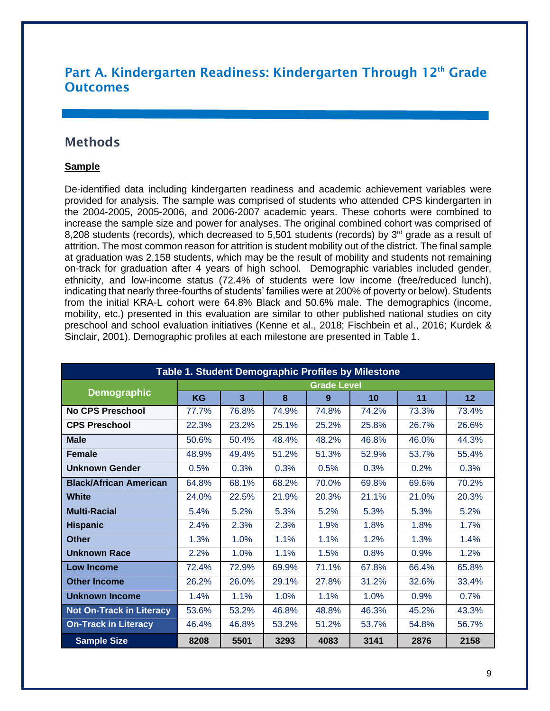### <span id="page-8-0"></span>Part A. Kindergarten Readiness: Kindergarten Through 12th Grade **Outcomes**

### Methods

#### **Sample**

De-identified data including kindergarten readiness and academic achievement variables were provided for analysis. The sample was comprised of students who attended CPS kindergarten in the 2004-2005, 2005-2006, and 2006-2007 academic years. These cohorts were combined to increase the sample size and power for analyses. The original combined cohort was comprised of 8,208 students (records), which decreased to 5,501 students (records) by  $3<sup>rd</sup>$  grade as a result of attrition. The most common reason for attrition is student mobility out of the district. The final sample at graduation was 2,158 students, which may be the result of mobility and students not remaining on-track for graduation after 4 years of high school. Demographic variables included gender, ethnicity, and low-income status (72.4% of students were low income (free/reduced lunch), indicating that nearly three-fourths of students' families were at 200% of poverty or below). Students from the initial KRA-L cohort were 64.8% Black and 50.6% male. The demographics (income, mobility, etc.) presented in this evaluation are similar to other published national studies on city preschool and school evaluation initiatives (Kenne et al., 2018; Fischbein et al., 2016; Kurdek & Sinclair, 2001). Demographic profiles at each milestone are presented in Table 1.

| Table 1. Student Demographic Profiles by Milestone |                    |       |       |       |       |       |       |  |
|----------------------------------------------------|--------------------|-------|-------|-------|-------|-------|-------|--|
|                                                    | <b>Grade Level</b> |       |       |       |       |       |       |  |
| Demographic                                        | <b>KG</b>          | 3     | 8     | 9     | 10    | 11    | 12    |  |
| No CPS Preschool                                   | 77.7%              | 76.8% | 74.9% | 74.8% | 74.2% | 73.3% | 73.4% |  |
| <b>CPS Preschool</b>                               | 22.3%              | 23.2% | 25.1% | 25.2% | 25.8% | 26.7% | 26.6% |  |
| <b>Male</b>                                        | 50.6%              | 50.4% | 48.4% | 48.2% | 46.8% | 46.0% | 44.3% |  |
| <b>Female</b>                                      | 48.9%              | 49.4% | 51.2% | 51.3% | 52.9% | 53.7% | 55.4% |  |
| <b>Unknown Gender</b>                              | 0.5%               | 0.3%  | 0.3%  | 0.5%  | 0.3%  | 0.2%  | 0.3%  |  |
| <b>Black/African American</b>                      | 64.8%              | 68.1% | 68.2% | 70.0% | 69.8% | 69.6% | 70.2% |  |
| White                                              | 24.0%              | 22.5% | 21.9% | 20.3% | 21.1% | 21.0% | 20.3% |  |
| <b>Multi-Racial</b>                                | 5.4%               | 5.2%  | 5.3%  | 5.2%  | 5.3%  | 5.3%  | 5.2%  |  |
| <b>Hispanic</b>                                    | 2.4%               | 2.3%  | 2.3%  | 1.9%  | 1.8%  | 1.8%  | 1.7%  |  |
| <b>Other</b>                                       | 1.3%               | 1.0%  | 1.1%  | 1.1%  | 1.2%  | 1.3%  | 1.4%  |  |
| <b>Unknown Race</b>                                | 2.2%               | 1.0%  | 1.1%  | 1.5%  | 0.8%  | 0.9%  | 1.2%  |  |
| <b>Low Income</b>                                  | 72.4%              | 72.9% | 69.9% | 71.1% | 67.8% | 66.4% | 65.8% |  |
| <b>Other Income</b>                                | 26.2%              | 26.0% | 29.1% | 27.8% | 31.2% | 32.6% | 33.4% |  |
| <b>Unknown Income</b>                              | 1.4%               | 1.1%  | 1.0%  | 1.1%  | 1.0%  | 0.9%  | 0.7%  |  |
| <b>Not On-Track in Literacy</b>                    | 53.6%              | 53.2% | 46.8% | 48.8% | 46.3% | 45.2% | 43.3% |  |
| <b>On-Track in Literacy</b>                        | 46.4%              | 46.8% | 53.2% | 51.2% | 53.7% | 54.8% | 56.7% |  |
| <b>Sample Size</b>                                 | 8208               | 5501  | 3293  | 4083  | 3141  | 2876  | 2158  |  |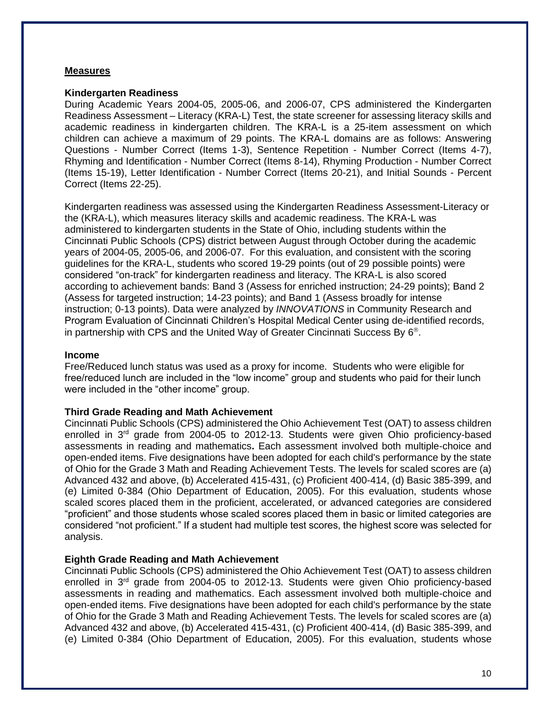#### **Measures**

#### **Kindergarten Readiness**

During Academic Years 2004-05, 2005-06, and 2006-07, CPS administered the Kindergarten Readiness Assessment – Literacy (KRA-L) Test, the state screener for assessing literacy skills and academic readiness in kindergarten children. The KRA-L is a 25-item assessment on which children can achieve a maximum of 29 points. The KRA-L domains are as follows: Answering Questions - Number Correct (Items 1-3), Sentence Repetition - Number Correct (Items 4-7), Rhyming and Identification - Number Correct (Items 8-14), Rhyming Production - Number Correct (Items 15-19), Letter Identification - Number Correct (Items 20-21), and Initial Sounds - Percent Correct (Items 22-25).

Kindergarten readiness was assessed using the Kindergarten Readiness Assessment-Literacy or the (KRA-L), which measures literacy skills and academic readiness. The KRA-L was administered to kindergarten students in the State of Ohio, including students within the Cincinnati Public Schools (CPS) district between August through October during the academic years of 2004-05, 2005-06, and 2006-07. For this evaluation, and consistent with the scoring guidelines for the KRA-L, students who scored 19-29 points (out of 29 possible points) were considered "on-track" for kindergarten readiness and literacy. The KRA-L is also scored according to achievement bands: Band 3 (Assess for enriched instruction; 24-29 points); Band 2 (Assess for targeted instruction; 14-23 points); and Band 1 (Assess broadly for intense instruction; 0-13 points). Data were analyzed by *INNOVATIONS* in Community Research and Program Evaluation of Cincinnati Children's Hospital Medical Center using de-identified records, in partnership with CPS and the United Way of Greater Cincinnati Success By  $6^{\circ}$ .

#### **Income**

Free/Reduced lunch status was used as a proxy for income. Students who were eligible for free/reduced lunch are included in the "low income" group and students who paid for their lunch were included in the "other income" group.

#### **Third Grade Reading and Math Achievement**

Cincinnati Public Schools (CPS) administered the Ohio Achievement Test (OAT) to assess children enrolled in 3<sup>rd</sup> grade from 2004-05 to 2012-13. Students were given Ohio proficiency-based assessments in reading and mathematics**.** Each assessment involved both multiple-choice and open-ended items. Five designations have been adopted for each child's performance by the state of Ohio for the Grade 3 Math and Reading Achievement Tests. The levels for scaled scores are (a) Advanced 432 and above, (b) Accelerated 415-431, (c) Proficient 400-414, (d) Basic 385-399, and (e) Limited 0-384 (Ohio Department of Education, 2005). For this evaluation, students whose scaled scores placed them in the proficient, accelerated, or advanced categories are considered "proficient" and those students whose scaled scores placed them in basic or limited categories are considered "not proficient." If a student had multiple test scores, the highest score was selected for analysis.

#### **Eighth Grade Reading and Math Achievement**

Cincinnati Public Schools (CPS) administered the Ohio Achievement Test (OAT) to assess children enrolled in 3<sup>rd</sup> grade from 2004-05 to 2012-13. Students were given Ohio proficiency-based assessments in reading and mathematics. Each assessment involved both multiple-choice and open-ended items. Five designations have been adopted for each child's performance by the state of Ohio for the Grade 3 Math and Reading Achievement Tests. The levels for scaled scores are (a) Advanced 432 and above, (b) Accelerated 415-431, (c) Proficient 400-414, (d) Basic 385-399, and (e) Limited 0-384 (Ohio Department of Education, 2005). For this evaluation, students whose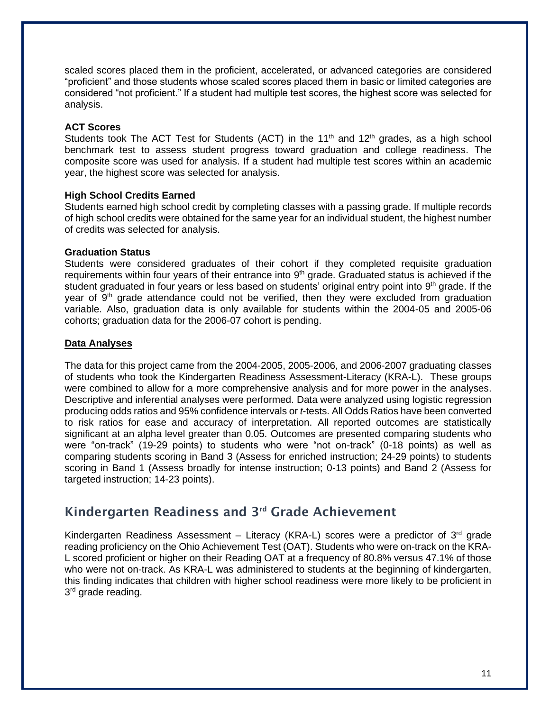scaled scores placed them in the proficient, accelerated, or advanced categories are considered "proficient" and those students whose scaled scores placed them in basic or limited categories are considered "not proficient." If a student had multiple test scores, the highest score was selected for analysis.

#### **ACT Scores**

Students took The ACT Test for Students (ACT) in the  $11<sup>th</sup>$  and  $12<sup>th</sup>$  grades, as a high school benchmark test to assess student progress toward graduation and college readiness. The composite score was used for analysis. If a student had multiple test scores within an academic year, the highest score was selected for analysis.

#### **High School Credits Earned**

Students earned high school credit by completing classes with a passing grade. If multiple records of high school credits were obtained for the same year for an individual student, the highest number of credits was selected for analysis.

#### **Graduation Status**

Students were considered graduates of their cohort if they completed requisite graduation requirements within four years of their entrance into  $9<sup>th</sup>$  grade. Graduated status is achieved if the student graduated in four years or less based on students' original entry point into 9<sup>th</sup> grade. If the year of  $9<sup>th</sup>$  grade attendance could not be verified, then they were excluded from graduation variable. Also, graduation data is only available for students within the 2004-05 and 2005-06 cohorts; graduation data for the 2006-07 cohort is pending.

#### **Data Analyses**

The data for this project came from the 2004-2005, 2005-2006, and 2006-2007 graduating classes of students who took the Kindergarten Readiness Assessment-Literacy (KRA-L). These groups were combined to allow for a more comprehensive analysis and for more power in the analyses. Descriptive and inferential analyses were performed. Data were analyzed using logistic regression producing odds ratios and 95% confidence intervals or *t*-tests. All Odds Ratios have been converted to risk ratios for ease and accuracy of interpretation. All reported outcomes are statistically significant at an alpha level greater than 0.05. Outcomes are presented comparing students who were "on-track" (19-29 points) to students who were "not on-track" (0-18 points) as well as comparing students scoring in Band 3 (Assess for enriched instruction; 24-29 points) to students scoring in Band 1 (Assess broadly for intense instruction; 0-13 points) and Band 2 (Assess for targeted instruction; 14-23 points).

### <span id="page-10-0"></span>Kindergarten Readiness and 3 rd Grade Achievement

Kindergarten Readiness Assessment – Literacy (KRA-L) scores were a predictor of 3<sup>rd</sup> grade reading proficiency on the Ohio Achievement Test (OAT). Students who were on-track on the KRA-L scored proficient or higher on their Reading OAT at a frequency of 80.8% versus 47.1% of those who were not on-track. As KRA-L was administered to students at the beginning of kindergarten, this finding indicates that children with higher school readiness were more likely to be proficient in 3<sup>rd</sup> grade reading.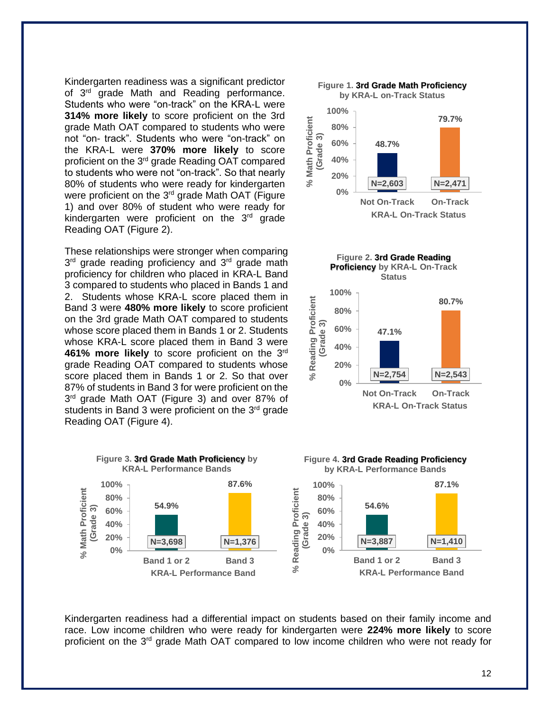Kindergarten readiness was a significant predictor of 3<sup>rd</sup> grade Math and Reading performance. Students who were "on-track" on the KRA-L were **314% more likely** to score proficient on the 3rd grade Math OAT compared to students who were not "on- track". Students who were "on-track" on the KRA-L were **370% more likely** to score proficient on the 3rd grade Reading OAT compared to students who were not "on-track". So that nearly 80% of students who were ready for kindergarten were proficient on the 3<sup>rd</sup> grade Math OAT (Figure 1) and over 80% of student who were ready for kindergarten were proficient on the  $3<sup>rd</sup>$  grade Reading OAT (Figure 2).

These relationships were stronger when comparing 3<sup>rd</sup> grade reading proficiency and 3<sup>rd</sup> grade math proficiency for children who placed in KRA-L Band 3 compared to students who placed in Bands 1 and 2. Students whose KRA-L score placed them in Band 3 were **480% more likely** to score proficient on the 3rd grade Math OAT compared to students whose score placed them in Bands 1 or 2. Students whose KRA-L score placed them in Band 3 were **461% more likely** to score proficient on the 3rd grade Reading OAT compared to students whose score placed them in Bands 1 or 2. So that over 87% of students in Band 3 for were proficient on the 3<sup>rd</sup> grade Math OAT (Figure 3) and over 87% of students in Band 3 were proficient on the  $3<sup>rd</sup>$  grade Reading OAT (Figure 4).

**54.9%**

**KRA-L Performance Bands**

**0% 20% 40% 60% 80% 100%**

**% Math Proficient (Grade 3)**

**Math Proficient** 

 $\geqslant$ 



**Figure 1. 3rd Grade Math Proficiency** 

Kindergarten readiness had a differential impact on students based on their family income and race. Low income children who were ready for kindergarten were **224% more likely** to score proficient on the 3<sup>rd</sup> grade Math OAT compared to low income children who were not ready for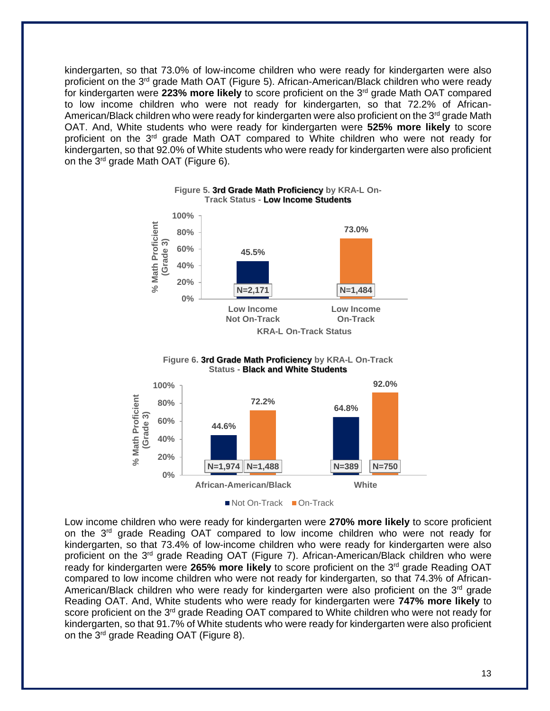kindergarten, so that 73.0% of low-income children who were ready for kindergarten were also proficient on the 3<sup>rd</sup> grade Math OAT (Figure 5). African-American/Black children who were ready for kindergarten were **223% more likely** to score proficient on the 3rd grade Math OAT compared to low income children who were not ready for kindergarten, so that 72.2% of African-American/Black children who were ready for kindergarten were also proficient on the  $3<sup>rd</sup>$  grade Math OAT. And, White students who were ready for kindergarten were **525% more likely** to score proficient on the 3<sup>rd</sup> grade Math OAT compared to White children who were not ready for kindergarten, so that 92.0% of White students who were ready for kindergarten were also proficient on the 3rd grade Math OAT (Figure 6).



#### **Figure 5. 3rd Grade Math Proficiency by KRA-L On-Track Status - Low Income Students**





Not On-Track On-Track

Low income children who were ready for kindergarten were **270% more likely** to score proficient on the  $3<sup>rd</sup>$  grade Reading OAT compared to low income children who were not ready for kindergarten, so that 73.4% of low-income children who were ready for kindergarten were also proficient on the 3rd grade Reading OAT (Figure 7). African-American/Black children who were ready for kindergarten were 265% more likely to score proficient on the 3<sup>rd</sup> grade Reading OAT compared to low income children who were not ready for kindergarten, so that 74.3% of African-American/Black children who were ready for kindergarten were also proficient on the  $3<sup>rd</sup>$  grade Reading OAT. And, White students who were ready for kindergarten were **747% more likely** to score proficient on the 3<sup>rd</sup> grade Reading OAT compared to White children who were not ready for kindergarten, so that 91.7% of White students who were ready for kindergarten were also proficient on the 3rd grade Reading OAT (Figure 8).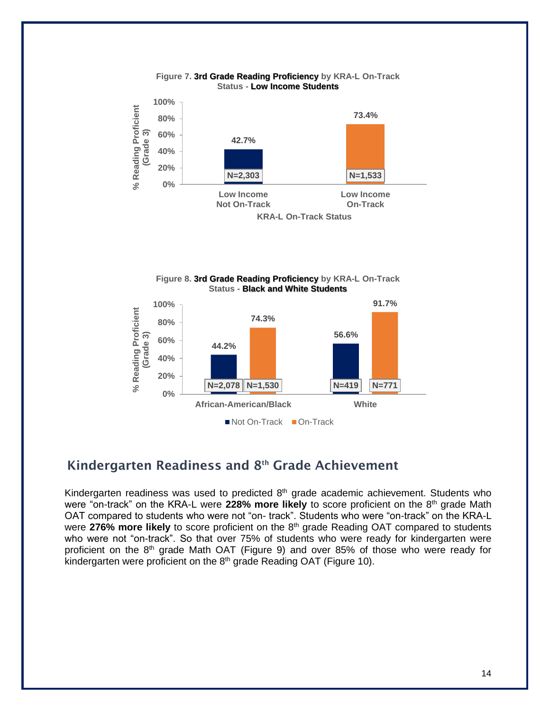







### <span id="page-13-0"></span>Kindergarten Readiness and 8<sup>th</sup> Grade Achievement

Kindergarten readiness was used to predicted 8<sup>th</sup> grade academic achievement. Students who were "on-track" on the KRA-L were 228% more likely to score proficient on the 8<sup>th</sup> grade Math OAT compared to students who were not "on- track". Students who were "on-track" on the KRA-L were 276% more likely to score proficient on the 8<sup>th</sup> grade Reading OAT compared to students who were not "on-track". So that over 75% of students who were ready for kindergarten were proficient on the 8<sup>th</sup> grade Math OAT (Figure 9) and over 85% of those who were ready for kindergarten were proficient on the  $8<sup>th</sup>$  grade Reading OAT (Figure 10).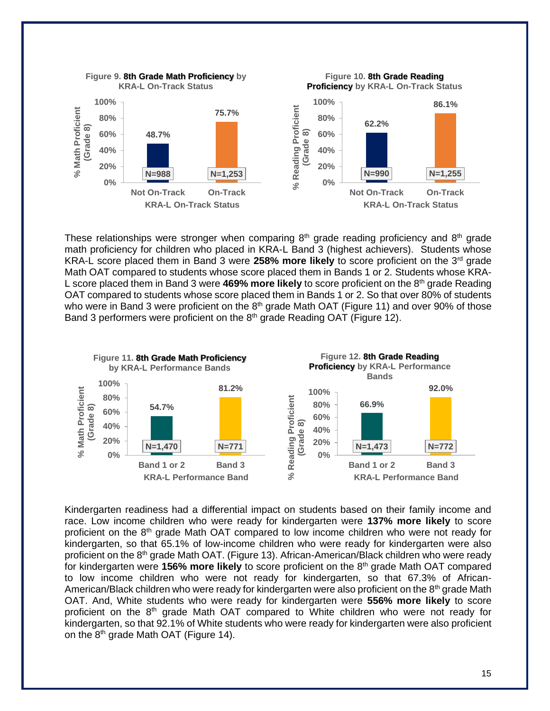

These relationships were stronger when comparing  $8<sup>th</sup>$  grade reading proficiency and  $8<sup>th</sup>$  grade math proficiency for children who placed in KRA-L Band 3 (highest achievers). Students whose KRA-L score placed them in Band 3 were **258% more likely** to score proficient on the 3rd grade Math OAT compared to students whose score placed them in Bands 1 or 2. Students whose KRA-L score placed them in Band 3 were **469% more likely** to score proficient on the 8th grade Reading OAT compared to students whose score placed them in Bands 1 or 2. So that over 80% of students who were in Band 3 were proficient on the 8<sup>th</sup> grade Math OAT (Figure 11) and over 90% of those Band 3 performers were proficient on the  $8<sup>th</sup>$  grade Reading OAT (Figure 12).



Kindergarten readiness had a differential impact on students based on their family income and race. Low income children who were ready for kindergarten were **137% more likely** to score proficient on the 8th grade Math OAT compared to low income children who were not ready for kindergarten, so that 65.1% of low-income children who were ready for kindergarten were also proficient on the 8<sup>th</sup> grade Math OAT. (Figure 13). African-American/Black children who were ready for kindergarten were **156% more likely** to score proficient on the 8th grade Math OAT compared to low income children who were not ready for kindergarten, so that 67.3% of African-American/Black children who were ready for kindergarten were also proficient on the  $8<sup>th</sup>$  grade Math OAT. And, White students who were ready for kindergarten were **556% more likely** to score proficient on the  $8<sup>th</sup>$  grade Math OAT compared to White children who were not ready for kindergarten, so that 92.1% of White students who were ready for kindergarten were also proficient on the  $8<sup>th</sup>$  grade Math OAT (Figure 14).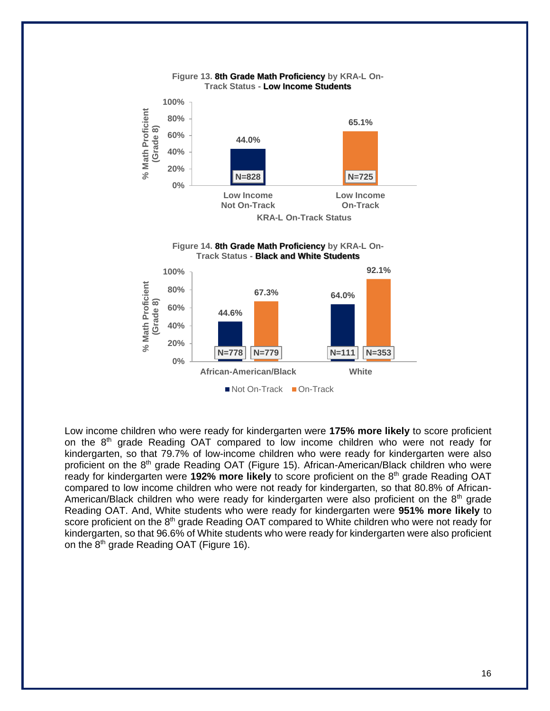

Low income children who were ready for kindergarten were **175% more likely** to score proficient on the  $8<sup>th</sup>$  grade Reading OAT compared to low income children who were not ready for kindergarten, so that 79.7% of low-income children who were ready for kindergarten were also proficient on the 8<sup>th</sup> grade Reading OAT (Figure 15). African-American/Black children who were ready for kindergarten were 192% more likely to score proficient on the 8<sup>th</sup> grade Reading OAT compared to low income children who were not ready for kindergarten, so that 80.8% of African-American/Black children who were ready for kindergarten were also proficient on the  $8<sup>th</sup>$  grade Reading OAT. And, White students who were ready for kindergarten were **951% more likely** to score proficient on the  $8<sup>th</sup>$  grade Reading OAT compared to White children who were not ready for kindergarten, so that 96.6% of White students who were ready for kindergarten were also proficient on the 8<sup>th</sup> grade Reading OAT (Figure 16).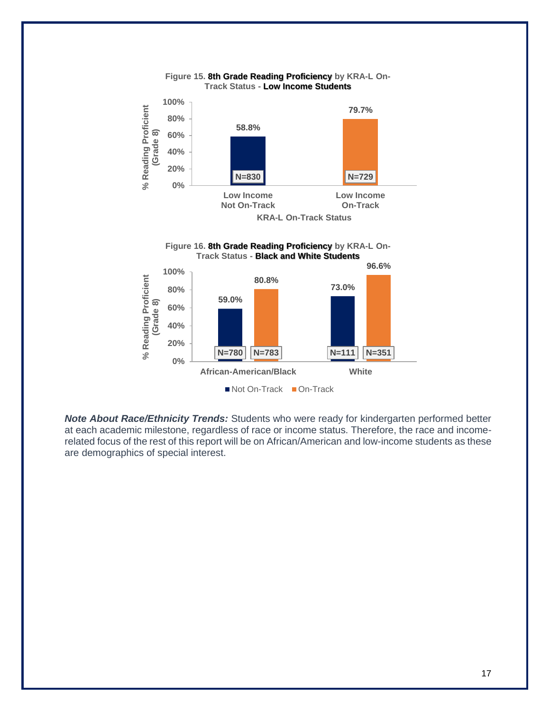

*Note About Race/Ethnicity Trends:* Students who were ready for kindergarten performed better at each academic milestone, regardless of race or income status. Therefore, the race and incomerelated focus of the rest of this report will be on African/American and low-income students as these are demographics of special interest.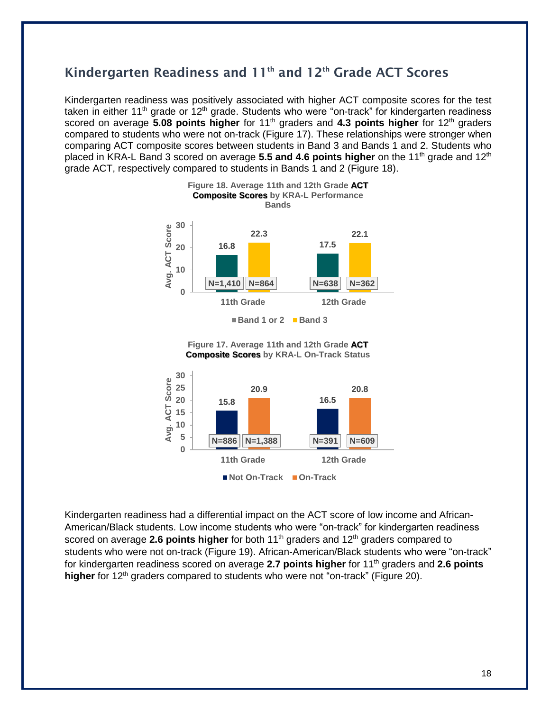### <span id="page-17-0"></span>Kindergarten Readiness and  $11<sup>th</sup>$  and  $12<sup>th</sup>$  Grade ACT Scores

Kindergarten readiness was positively associated with higher ACT composite scores for the test taken in either  $11<sup>th</sup>$  grade or  $12<sup>th</sup>$  grade. Students who were "on-track" for kindergarten readiness scored on average 5.08 points higher for 11<sup>th</sup> graders and 4.3 points higher for 12<sup>th</sup> graders compared to students who were not on-track (Figure 17). These relationships were stronger when comparing ACT composite scores between students in Band 3 and Bands 1 and 2. Students who placed in KRA-L Band 3 scored on average 5.5 and 4.6 points higher on the 11<sup>th</sup> grade and 12<sup>th</sup> grade ACT, respectively compared to students in Bands 1 and 2 (Figure 18).







Kindergarten readiness had a differential impact on the ACT score of low income and African-American/Black students. Low income students who were "on-track" for kindergarten readiness scored on average 2.6 points higher for both 11<sup>th</sup> graders and 12<sup>th</sup> graders compared to students who were not on-track (Figure 19). African-American/Black students who were "on-track" for kindergarten readiness scored on average **2.7 points higher** for 11th graders and **2.6 points**  higher for 12<sup>th</sup> graders compared to students who were not "on-track" (Figure 20).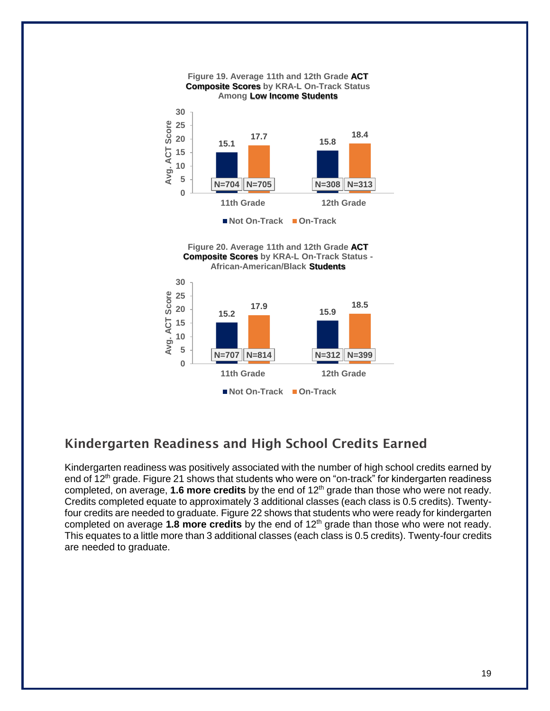

# <span id="page-18-0"></span>Kindergarten Readiness and High School Credits Earned

Kindergarten readiness was positively associated with the number of high school credits earned by end of 12<sup>th</sup> grade. Figure 21 shows that students who were on "on-track" for kindergarten readiness completed, on average, **1.6 more credits** by the end of 12<sup>th</sup> grade than those who were not ready. Credits completed equate to approximately 3 additional classes (each class is 0.5 credits). Twentyfour credits are needed to graduate. Figure 22 shows that students who were ready for kindergarten completed on average 1.8 more credits by the end of 12<sup>th</sup> grade than those who were not ready. This equates to a little more than 3 additional classes (each class is 0.5 credits). Twenty-four credits are needed to graduate.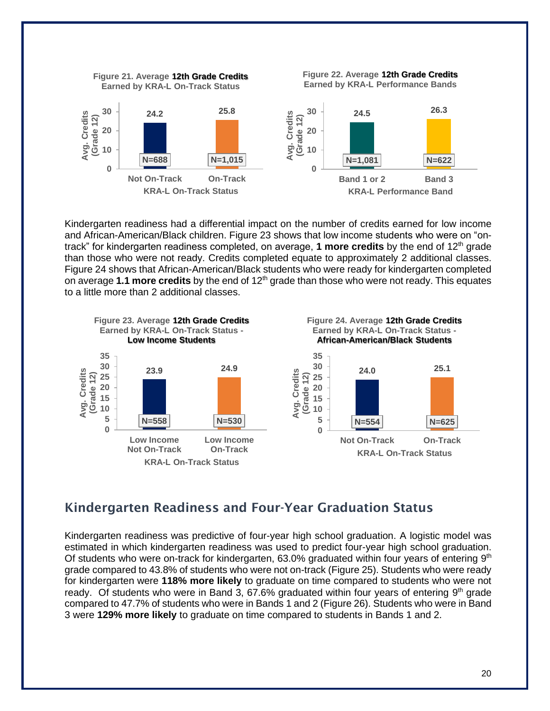

Kindergarten readiness had a differential impact on the number of credits earned for low income and African-American/Black children. Figure 23 shows that low income students who were on "ontrack" for kindergarten readiness completed, on average, **1 more credits** by the end of 12th grade than those who were not ready. Credits completed equate to approximately 2 additional classes. Figure 24 shows that African-American/Black students who were ready for kindergarten completed on average **1.1 more credits** by the end of 12<sup>th</sup> grade than those who were not ready. This equates to a little more than 2 additional classes.



## <span id="page-19-0"></span>Kindergarten Readiness and Four-Year Graduation Status

Kindergarten readiness was predictive of four-year high school graduation. A logistic model was estimated in which kindergarten readiness was used to predict four-year high school graduation. Of students who were on-track for kindergarten, 63.0% graduated within four years of entering  $9<sup>th</sup>$ grade compared to 43.8% of students who were not on-track (Figure 25). Students who were ready for kindergarten were **118% more likely** to graduate on time compared to students who were not ready. Of students who were in Band 3, 67.6% graduated within four years of entering  $9<sup>th</sup>$  grade compared to 47.7% of students who were in Bands 1 and 2 (Figure 26). Students who were in Band 3 were **129% more likely** to graduate on time compared to students in Bands 1 and 2.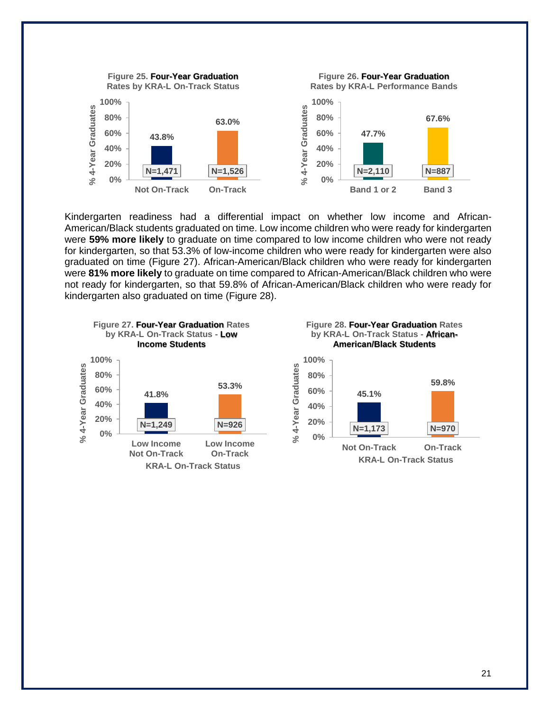

Kindergarten readiness had a differential impact on whether low income and African-American/Black students graduated on time. Low income children who were ready for kindergarten were **59% more likely** to graduate on time compared to low income children who were not ready for kindergarten, so that 53.3% of low-income children who were ready for kindergarten were also graduated on time (Figure 27). African-American/Black children who were ready for kindergarten were **81% more likely** to graduate on time compared to African-American/Black children who were not ready for kindergarten, so that 59.8% of African-American/Black children who were ready for kindergarten also graduated on time (Figure 28).

<span id="page-20-0"></span>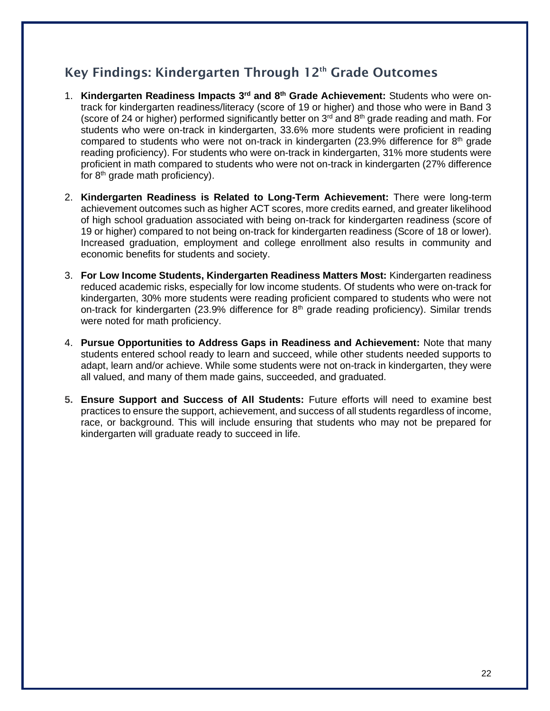# Key Findings: Kindergarten Through 12<sup>th</sup> Grade Outcomes

- 1. **Kindergarten Readiness Impacts 3rd and 8th Grade Achievement:** Students who were ontrack for kindergarten readiness/literacy (score of 19 or higher) and those who were in Band 3 (score of 24 or higher) performed significantly better on  $3<sup>rd</sup>$  and  $8<sup>th</sup>$  grade reading and math. For students who were on-track in kindergarten, 33.6% more students were proficient in reading compared to students who were not on-track in kindergarten (23.9% difference for  $8<sup>th</sup>$  grade reading proficiency). For students who were on-track in kindergarten, 31% more students were proficient in math compared to students who were not on-track in kindergarten (27% difference for  $8<sup>th</sup>$  grade math proficiency).
- 2. **Kindergarten Readiness is Related to Long-Term Achievement:** There were long-term achievement outcomes such as higher ACT scores, more credits earned, and greater likelihood of high school graduation associated with being on-track for kindergarten readiness (score of 19 or higher) compared to not being on-track for kindergarten readiness (Score of 18 or lower). Increased graduation, employment and college enrollment also results in community and economic benefits for students and society.
- 3. **For Low Income Students, Kindergarten Readiness Matters Most:** Kindergarten readiness reduced academic risks, especially for low income students. Of students who were on-track for kindergarten, 30% more students were reading proficient compared to students who were not on-track for kindergarten (23.9% difference for  $8<sup>th</sup>$  grade reading proficiency). Similar trends were noted for math proficiency.
- 4. **Pursue Opportunities to Address Gaps in Readiness and Achievement:** Note that many students entered school ready to learn and succeed, while other students needed supports to adapt, learn and/or achieve. While some students were not on-track in kindergarten, they were all valued, and many of them made gains, succeeded, and graduated.
- **5. Ensure Support and Success of All Students:** Future efforts will need to examine best practices to ensure the support, achievement, and success of all students regardless of income, race, or background. This will include ensuring that students who may not be prepared for kindergarten will graduate ready to succeed in life.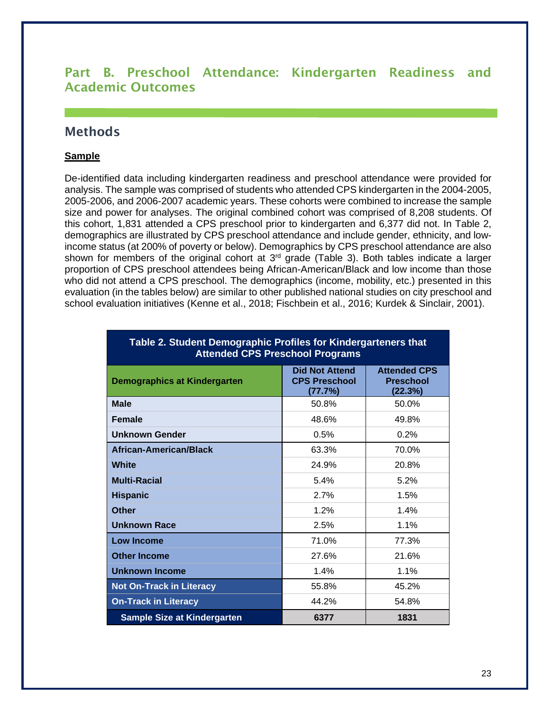### <span id="page-22-0"></span>Part B. Preschool Attendance: Kindergarten Readiness and Academic Outcomes

### Methods

#### **Sample**

De-identified data including kindergarten readiness and preschool attendance were provided for analysis. The sample was comprised of students who attended CPS kindergarten in the 2004-2005, 2005-2006, and 2006-2007 academic years. These cohorts were combined to increase the sample size and power for analyses. The original combined cohort was comprised of 8,208 students. Of this cohort, 1,831 attended a CPS preschool prior to kindergarten and 6,377 did not. In Table 2, demographics are illustrated by CPS preschool attendance and include gender, ethnicity, and lowincome status (at 200% of poverty or below). Demographics by CPS preschool attendance are also shown for members of the original cohort at  $3<sup>rd</sup>$  grade (Table 3). Both tables indicate a larger proportion of CPS preschool attendees being African-American/Black and low income than those who did not attend a CPS preschool. The demographics (income, mobility, etc.) presented in this evaluation (in the tables below) are similar to other published national studies on city preschool and school evaluation initiatives (Kenne et al., 2018; Fischbein et al., 2016; Kurdek & Sinclair, 2001).

**Table 2. Student Demographic Profiles for Kindergarteners that** 

| <b>Attended CPS Preschool Programs</b> |                                                          |                                                    |  |  |  |
|----------------------------------------|----------------------------------------------------------|----------------------------------------------------|--|--|--|
| <b>Demographics at Kindergarten</b>    | <b>Did Not Attend</b><br><b>CPS Preschool</b><br>(77.7%) | <b>Attended CPS</b><br><b>Preschool</b><br>(22.3%) |  |  |  |
| <b>Male</b>                            | 50.8%                                                    | 50.0%                                              |  |  |  |
| <b>Female</b>                          | 48.6%                                                    | 49.8%                                              |  |  |  |
| <b>Unknown Gender</b>                  | 0.5%                                                     | 0.2%                                               |  |  |  |
| <b>African-American/Black</b>          | 63.3%                                                    | 70.0%                                              |  |  |  |
| White                                  | 24.9%                                                    | 20.8%                                              |  |  |  |
| <b>Multi-Racial</b>                    | 5.4%                                                     | 5.2%                                               |  |  |  |
| <b>Hispanic</b>                        | 2.7%                                                     | 1.5%                                               |  |  |  |
| Other                                  | 1.2%                                                     | 1.4%                                               |  |  |  |
| <b>Unknown Race</b>                    | 2.5%                                                     | 1.1%                                               |  |  |  |
| <b>Low Income</b>                      | 71.0%                                                    | 77.3%                                              |  |  |  |
| <b>Other Income</b>                    | 27.6%                                                    | 21.6%                                              |  |  |  |
| <b>Unknown Income</b>                  | 1.4%                                                     | 1.1%                                               |  |  |  |
| <b>Not On-Track in Literacy</b>        | 55.8%                                                    | 45.2%                                              |  |  |  |
| <b>On-Track in Literacy</b>            | 44.2%                                                    | 54.8%                                              |  |  |  |
| <b>Sample Size at Kindergarten</b>     | 6377                                                     | 1831                                               |  |  |  |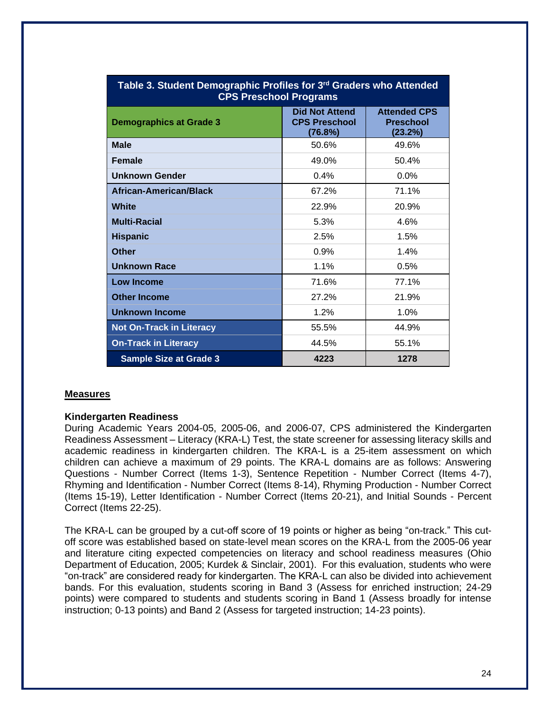| <b>CPS Preschool Programs</b>   |                                                          |                                                    |  |  |  |
|---------------------------------|----------------------------------------------------------|----------------------------------------------------|--|--|--|
| <b>Demographics at Grade 3</b>  | <b>Did Not Attend</b><br><b>CPS Preschool</b><br>(76.8%) | <b>Attended CPS</b><br><b>Preschool</b><br>(23.2%) |  |  |  |
| <b>Male</b>                     | 50.6%                                                    | 49.6%                                              |  |  |  |
| Female                          | 49.0%                                                    | 50.4%                                              |  |  |  |
| Unknown Gender                  | 0.4%                                                     | 0.0%                                               |  |  |  |
| <b>African-American/Black</b>   | 67.2%                                                    | 71.1%                                              |  |  |  |
| <b>White</b>                    | 22.9%                                                    | 20.9%                                              |  |  |  |
| <b>Multi-Racial</b>             | 5.3%                                                     | 4.6%                                               |  |  |  |
| <b>Hispanic</b>                 | 2.5%                                                     | 1.5%                                               |  |  |  |
| <b>Other</b>                    | 0.9%                                                     | 1.4%                                               |  |  |  |
| <b>Unknown Race</b>             | 1.1%                                                     | 0.5%                                               |  |  |  |
| <b>Low Income</b>               | 71.6%                                                    | 77.1%                                              |  |  |  |
| <b>Other Income</b>             | 27.2%                                                    | 21.9%                                              |  |  |  |
| <b>Unknown Income</b>           | 1.2%                                                     | 1.0%                                               |  |  |  |
| <b>Not On-Track in Literacy</b> | 55.5%                                                    | 44.9%                                              |  |  |  |
| <b>On-Track in Literacy</b>     | 44.5%                                                    | 55.1%                                              |  |  |  |
| <b>Sample Size at Grade 3</b>   | 4223                                                     | 1278                                               |  |  |  |

#### **Table 3. Student Demographic Profiles for 3 rd Graders who Attended CPS Preschool Programs**

#### **Measures**

#### **Kindergarten Readiness**

During Academic Years 2004-05, 2005-06, and 2006-07, CPS administered the Kindergarten Readiness Assessment – Literacy (KRA-L) Test, the state screener for assessing literacy skills and academic readiness in kindergarten children. The KRA-L is a 25-item assessment on which children can achieve a maximum of 29 points. The KRA-L domains are as follows: Answering Questions - Number Correct (Items 1-3), Sentence Repetition - Number Correct (Items 4-7), Rhyming and Identification - Number Correct (Items 8-14), Rhyming Production - Number Correct (Items 15-19), Letter Identification - Number Correct (Items 20-21), and Initial Sounds - Percent Correct (Items 22-25).

The KRA-L can be grouped by a cut-off score of 19 points or higher as being "on-track." This cutoff score was established based on state-level mean scores on the KRA-L from the 2005-06 year and literature citing expected competencies on literacy and school readiness measures (Ohio Department of Education, 2005; Kurdek & Sinclair, 2001). For this evaluation, students who were "on-track" are considered ready for kindergarten. The KRA-L can also be divided into achievement bands. For this evaluation, students scoring in Band 3 (Assess for enriched instruction; 24-29 points) were compared to students and students scoring in Band 1 (Assess broadly for intense instruction; 0-13 points) and Band 2 (Assess for targeted instruction; 14-23 points).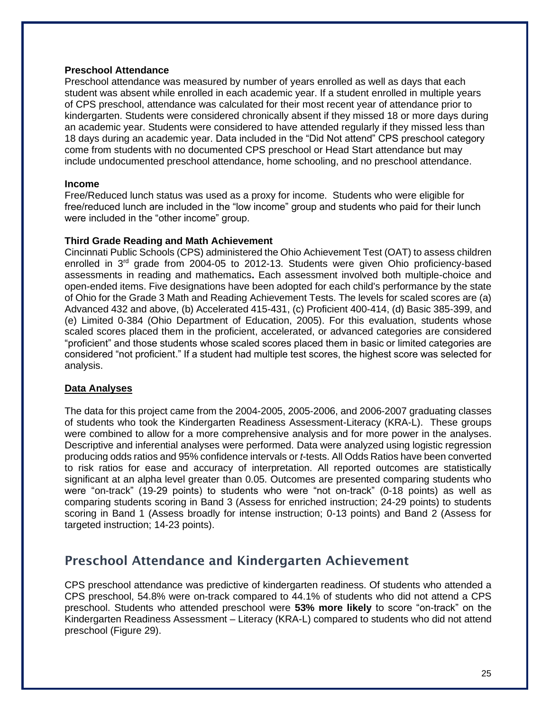#### **Preschool Attendance**

Preschool attendance was measured by number of years enrolled as well as days that each student was absent while enrolled in each academic year. If a student enrolled in multiple years of CPS preschool, attendance was calculated for their most recent year of attendance prior to kindergarten. Students were considered chronically absent if they missed 18 or more days during an academic year. Students were considered to have attended regularly if they missed less than 18 days during an academic year. Data included in the "Did Not attend" CPS preschool category come from students with no documented CPS preschool or Head Start attendance but may include undocumented preschool attendance, home schooling, and no preschool attendance.

#### **Income**

Free/Reduced lunch status was used as a proxy for income. Students who were eligible for free/reduced lunch are included in the "low income" group and students who paid for their lunch were included in the "other income" group.

#### **Third Grade Reading and Math Achievement**

Cincinnati Public Schools (CPS) administered the Ohio Achievement Test (OAT) to assess children enrolled in 3<sup>rd</sup> grade from 2004-05 to 2012-13. Students were given Ohio proficiency-based assessments in reading and mathematics**.** Each assessment involved both multiple-choice and open-ended items. Five designations have been adopted for each child's performance by the state of Ohio for the Grade 3 Math and Reading Achievement Tests. The levels for scaled scores are (a) Advanced 432 and above, (b) Accelerated 415-431, (c) Proficient 400-414, (d) Basic 385-399, and (e) Limited 0-384 (Ohio Department of Education, 2005). For this evaluation, students whose scaled scores placed them in the proficient, accelerated, or advanced categories are considered "proficient" and those students whose scaled scores placed them in basic or limited categories are considered "not proficient." If a student had multiple test scores, the highest score was selected for analysis.

#### **Data Analyses**

The data for this project came from the 2004-2005, 2005-2006, and 2006-2007 graduating classes of students who took the Kindergarten Readiness Assessment-Literacy (KRA-L). These groups were combined to allow for a more comprehensive analysis and for more power in the analyses. Descriptive and inferential analyses were performed. Data were analyzed using logistic regression producing odds ratios and 95% confidence intervals or *t*-tests. All Odds Ratios have been converted to risk ratios for ease and accuracy of interpretation. All reported outcomes are statistically significant at an alpha level greater than 0.05. Outcomes are presented comparing students who were "on-track" (19-29 points) to students who were "not on-track" (0-18 points) as well as comparing students scoring in Band 3 (Assess for enriched instruction; 24-29 points) to students scoring in Band 1 (Assess broadly for intense instruction; 0-13 points) and Band 2 (Assess for targeted instruction; 14-23 points).

### <span id="page-24-0"></span>Preschool Attendance and Kindergarten Achievement

CPS preschool attendance was predictive of kindergarten readiness. Of students who attended a CPS preschool, 54.8% were on-track compared to 44.1% of students who did not attend a CPS preschool. Students who attended preschool were **53% more likely** to score "on-track" on the Kindergarten Readiness Assessment – Literacy (KRA-L) compared to students who did not attend preschool (Figure 29).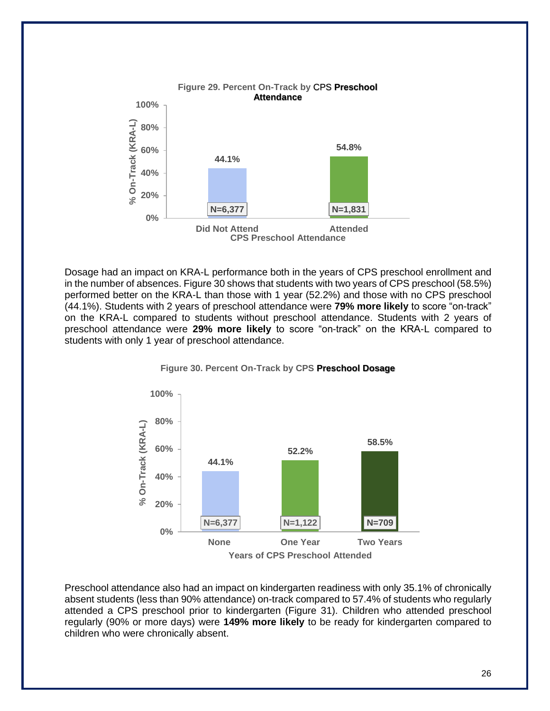

Dosage had an impact on KRA-L performance both in the years of CPS preschool enrollment and in the number of absences. Figure 30 shows that students with two years of CPS preschool (58.5%) performed better on the KRA-L than those with 1 year (52.2%) and those with no CPS preschool (44.1%). Students with 2 years of preschool attendance were **79% more likely** to score "on-track" on the KRA-L compared to students without preschool attendance. Students with 2 years of preschool attendance were **29% more likely** to score "on-track" on the KRA-L compared to students with only 1 year of preschool attendance.



**Figure 30. Percent On-Track by CPS Preschool Dosage**

Preschool attendance also had an impact on kindergarten readiness with only 35.1% of chronically absent students (less than 90% attendance) on-track compared to 57.4% of students who regularly attended a CPS preschool prior to kindergarten (Figure 31). Children who attended preschool regularly (90% or more days) were **149% more likely** to be ready for kindergarten compared to children who were chronically absent.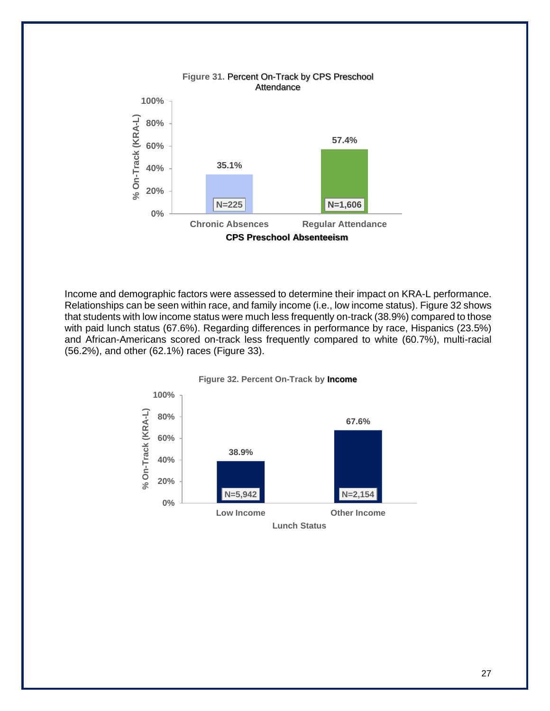

Income and demographic factors were assessed to determine their impact on KRA-L performance. Relationships can be seen within race, and family income (i.e., low income status). Figure 32 shows that students with low income status were much less frequently on-track (38.9%) compared to those with paid lunch status (67.6%). Regarding differences in performance by race, Hispanics (23.5%) and African-Americans scored on-track less frequently compared to white (60.7%), multi-racial (56.2%), and other (62.1%) races (Figure 33).

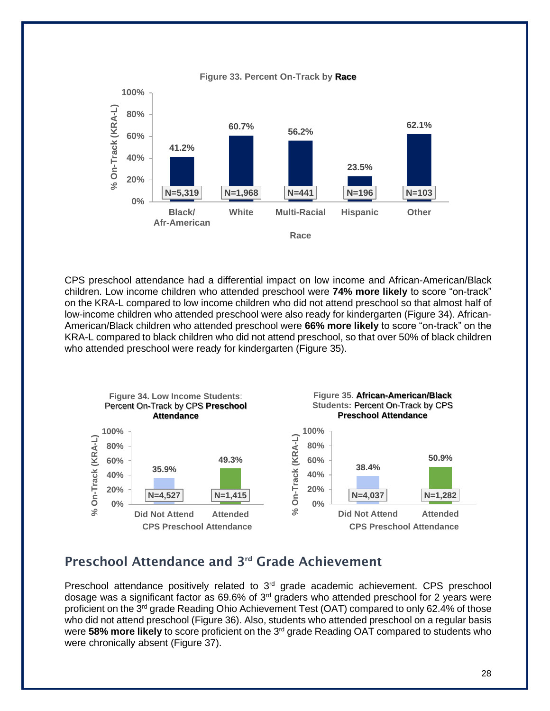

CPS preschool attendance had a differential impact on low income and African-American/Black children. Low income children who attended preschool were **74% more likely** to score "on-track" on the KRA-L compared to low income children who did not attend preschool so that almost half of low-income children who attended preschool were also ready for kindergarten (Figure 34). African-American/Black children who attended preschool were **66% more likely** to score "on-track" on the KRA-L compared to black children who did not attend preschool, so that over 50% of black children who attended preschool were ready for kindergarten (Figure 35).



### <span id="page-27-0"></span>Preschool Attendance and 3rd Grade Achievement

Preschool attendance positively related to 3<sup>rd</sup> grade academic achievement. CPS preschool dosage was a significant factor as 69.6% of  $3<sup>rd</sup>$  graders who attended preschool for 2 years were proficient on the 3<sup>rd</sup> grade Reading Ohio Achievement Test (OAT) compared to only 62.4% of those who did not attend preschool (Figure 36). Also, students who attended preschool on a regular basis were **58% more likely** to score proficient on the 3rd grade Reading OAT compared to students who were chronically absent (Figure 37).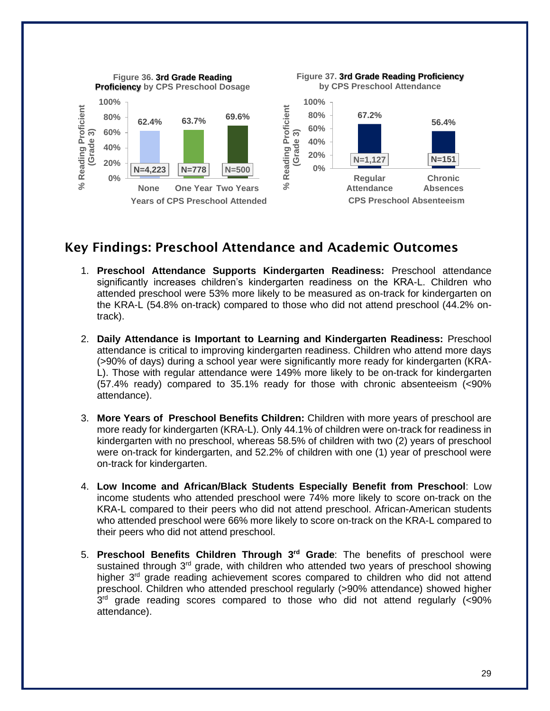

### <span id="page-28-0"></span>Key Findings: Preschool Attendance and Academic Outcomes

- 1. **Preschool Attendance Supports Kindergarten Readiness:** Preschool attendance significantly increases children's kindergarten readiness on the KRA-L. Children who attended preschool were 53% more likely to be measured as on-track for kindergarten on the KRA-L (54.8% on-track) compared to those who did not attend preschool (44.2% ontrack).
- 2. **Daily Attendance is Important to Learning and Kindergarten Readiness:** Preschool attendance is critical to improving kindergarten readiness. Children who attend more days (>90% of days) during a school year were significantly more ready for kindergarten (KRA-L). Those with regular attendance were 149% more likely to be on-track for kindergarten (57.4% ready) compared to 35.1% ready for those with chronic absenteeism (<90% attendance).
- 3. **More Years of Preschool Benefits Children:** Children with more years of preschool are more ready for kindergarten (KRA-L). Only 44.1% of children were on-track for readiness in kindergarten with no preschool, whereas 58.5% of children with two (2) years of preschool were on-track for kindergarten, and 52.2% of children with one (1) year of preschool were on-track for kindergarten.
- 4. **Low Income and African/Black Students Especially Benefit from Preschool**: Low income students who attended preschool were 74% more likely to score on-track on the KRA-L compared to their peers who did not attend preschool. African-American students who attended preschool were 66% more likely to score on-track on the KRA-L compared to their peers who did not attend preschool.
- 5. **Preschool Benefits Children Through 3rd Grade**: The benefits of preschool were sustained through  $3<sup>rd</sup>$  grade, with children who attended two years of preschool showing higher 3<sup>rd</sup> grade reading achievement scores compared to children who did not attend preschool. Children who attended preschool regularly (>90% attendance) showed higher 3<sup>rd</sup> grade reading scores compared to those who did not attend regularly (<90% attendance).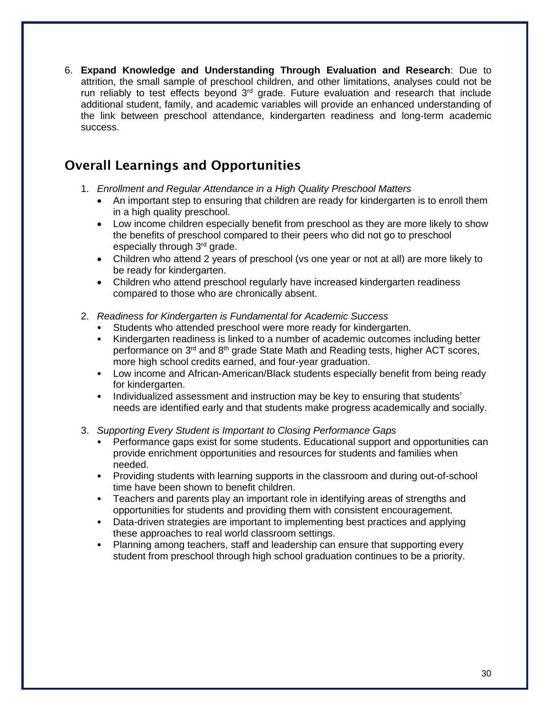6. **Expand Knowledge and Understanding Through Evaluation and Research**: Due to attrition, the small sample of preschool children, and other limitations, analyses could not be run reliably to test effects beyond  $3<sup>rd</sup>$  grade. Future evaluation and research that include additional student, family, and academic variables will provide an enhanced understanding of the link between preschool attendance, kindergarten readiness and long-term academic success.

# <span id="page-29-0"></span>Overall Learnings and Opportunities

- 1. *Enrollment and Regular Attendance in a High Quality Preschool Matters*
	- An important step to ensuring that children are ready for kindergarten is to enroll them in a high quality preschool.
	- Low income children especially benefit from preschool as they are more likely to show the benefits of preschool compared to their peers who did not go to preschool especially through 3rd grade.
	- Children who attend 2 years of preschool (vs one year or not at all) are more likely to be ready for kindergarten.
	- Children who attend preschool regularly have increased kindergarten readiness compared to those who are chronically absent.
- 2. *Readiness for Kindergarten is Fundamental for Academic Success*
	- Students who attended preschool were more ready for kindergarten.
	- Kindergarten readiness is linked to a number of academic outcomes including better performance on 3<sup>rd</sup> and 8<sup>th</sup> grade State Math and Reading tests, higher ACT scores, more high school credits earned, and four-year graduation.
	- Low income and African-American/Black students especially benefit from being ready for kindergarten.
	- Individualized assessment and instruction may be key to ensuring that students' needs are identified early and that students make progress academically and socially.
- <span id="page-29-1"></span>3. *Supporting Every Student is Important to Closing Performance Gaps* 
	- Performance gaps exist for some students. Educational support and opportunities can provide enrichment opportunities and resources for students and families when needed.
	- Providing students with learning supports in the classroom and during out-of-school time have been shown to benefit children.
	- Teachers and parents play an important role in identifying areas of strengths and opportunities for students and providing them with consistent encouragement.
	- Data-driven strategies are important to implementing best practices and applying these approaches to real world classroom settings.
	- Planning among teachers, staff and leadership can ensure that supporting every student from preschool through high school graduation continues to be a priority.